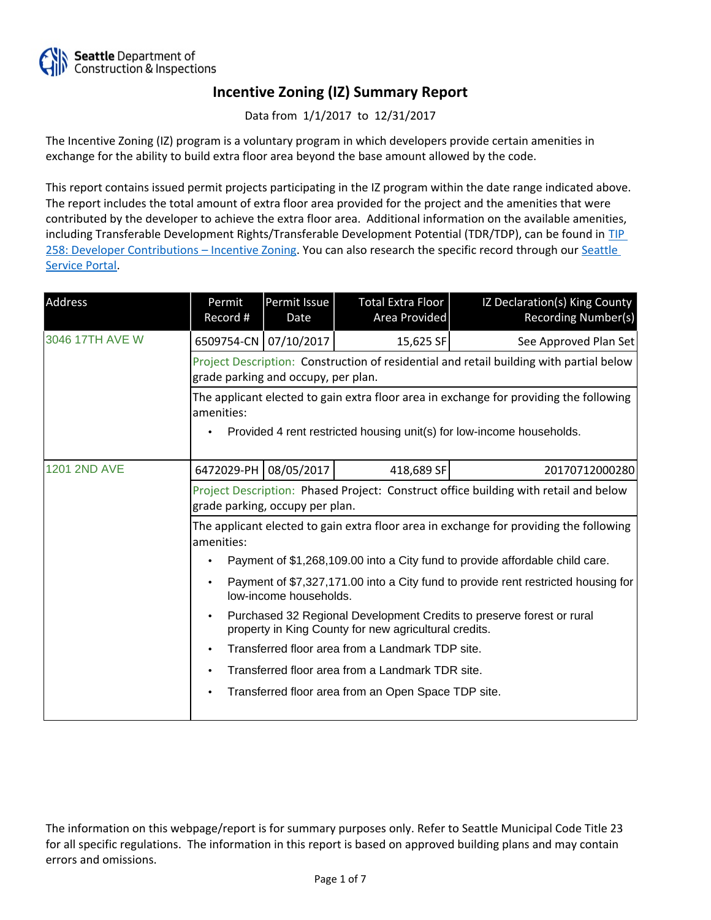

Data from 1/1/2017 to 12/31/2017

The Incentive Zoning (IZ) program is a voluntary program in which developers provide certain amenities in exchange for the ability to build extra floor area beyond the base amount allowed by the code.

This report contains issued permit projects participating in the IZ program within the date range indicated above. The report includes the total amount of extra floor area provided for the project and the amenities that were contributed by the developer to achieve the extra floor area. Additional information on the available amenities, including Transferable Development Rights/Transferable Development Potential (TDR/TDP), can be found in [TIP](http://www.seattle.gov/DPD/Publications/CAM/Tip258.pdf)  [258: Developer Contributions](http://www.seattle.gov/DPD/Publications/CAM/Tip258.pdf) [–](http://www.seattle.gov/DPD/Publications/CAM/Tip258.pdf) [Incentive Zoning.](http://www.seattle.gov/DPD/Publications/CAM/Tip258.pdf) You can also research the specific record through our [Seattle](https://cosaccela.seattle.gov/portal/welcome.aspx)  [Service Portal](https://cosaccela.seattle.gov/portal/welcome.aspx).

| Address             | Permit<br>Record #                                                                                                                          | Permit Issue<br>Date | Total Extra Floor<br>Area Provided                  | IZ Declaration(s) King County<br>Recording Number(s)                  |  |
|---------------------|---------------------------------------------------------------------------------------------------------------------------------------------|----------------------|-----------------------------------------------------|-----------------------------------------------------------------------|--|
| 3046 17TH AVE W     | 6509754-CN 07/10/2017                                                                                                                       |                      | 15,625 SF                                           | See Approved Plan Set                                                 |  |
|                     | Project Description: Construction of residential and retail building with partial below<br>grade parking and occupy, per plan.              |                      |                                                     |                                                                       |  |
|                     | The applicant elected to gain extra floor area in exchange for providing the following<br>amenities:                                        |                      |                                                     |                                                                       |  |
|                     |                                                                                                                                             |                      |                                                     | Provided 4 rent restricted housing unit(s) for low-income households. |  |
| <b>1201 2ND AVE</b> | 6472029-PH                                                                                                                                  | 08/05/2017           | 418,689 SF                                          | 20170712000280                                                        |  |
|                     | Project Description: Phased Project: Construct office building with retail and below<br>grade parking, occupy per plan.                     |                      |                                                     |                                                                       |  |
|                     | The applicant elected to gain extra floor area in exchange for providing the following<br>amenities:                                        |                      |                                                     |                                                                       |  |
|                     | Payment of \$1,268,109.00 into a City fund to provide affordable child care.                                                                |                      |                                                     |                                                                       |  |
|                     | Payment of \$7,327,171.00 into a City fund to provide rent restricted housing for<br>low-income households.                                 |                      |                                                     |                                                                       |  |
|                     | Purchased 32 Regional Development Credits to preserve forest or rural<br>$\bullet$<br>property in King County for new agricultural credits. |                      |                                                     |                                                                       |  |
|                     | Transferred floor area from a Landmark TDP site.<br>$\bullet$                                                                               |                      |                                                     |                                                                       |  |
|                     | Transferred floor area from a Landmark TDR site.<br>$\bullet$                                                                               |                      |                                                     |                                                                       |  |
|                     |                                                                                                                                             |                      | Transferred floor area from an Open Space TDP site. |                                                                       |  |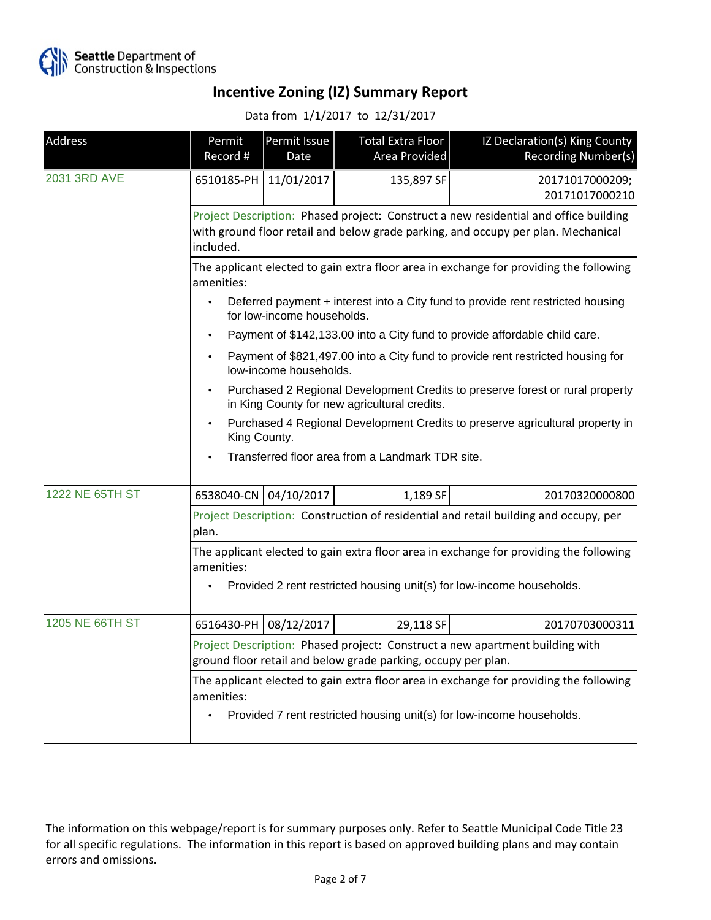

Data from 1/1/2017 to 12/31/2017

| Address         | Permit<br>Record #                                                                                                                                                                     | Permit Issue<br>Date | Total Extra Floor<br>Area Provided | IZ Declaration(s) King County<br>Recording Number(s)                       |  |
|-----------------|----------------------------------------------------------------------------------------------------------------------------------------------------------------------------------------|----------------------|------------------------------------|----------------------------------------------------------------------------|--|
| 2031 3RD AVE    | 6510185-PH 11/01/2017                                                                                                                                                                  |                      | 135,897 SF                         | 20171017000209;<br>20171017000210                                          |  |
|                 | Project Description: Phased project: Construct a new residential and office building<br>with ground floor retail and below grade parking, and occupy per plan. Mechanical<br>included. |                      |                                    |                                                                            |  |
|                 | The applicant elected to gain extra floor area in exchange for providing the following<br>amenities:                                                                                   |                      |                                    |                                                                            |  |
|                 | Deferred payment + interest into a City fund to provide rent restricted housing<br>for low-income households.                                                                          |                      |                                    |                                                                            |  |
|                 |                                                                                                                                                                                        |                      |                                    | Payment of \$142,133.00 into a City fund to provide affordable child care. |  |
|                 | Payment of \$821,497.00 into a City fund to provide rent restricted housing for<br>low-income households.                                                                              |                      |                                    |                                                                            |  |
|                 | Purchased 2 Regional Development Credits to preserve forest or rural property<br>in King County for new agricultural credits.                                                          |                      |                                    |                                                                            |  |
|                 | Purchased 4 Regional Development Credits to preserve agricultural property in<br>King County.                                                                                          |                      |                                    |                                                                            |  |
|                 | Transferred floor area from a Landmark TDR site.                                                                                                                                       |                      |                                    |                                                                            |  |
| 1222 NE 65TH ST | 6538040-CN 04/10/2017                                                                                                                                                                  |                      | 1,189 SF                           | 20170320000800                                                             |  |
|                 | Project Description: Construction of residential and retail building and occupy, per<br>plan.                                                                                          |                      |                                    |                                                                            |  |
|                 | The applicant elected to gain extra floor area in exchange for providing the following<br>amenities:                                                                                   |                      |                                    |                                                                            |  |
|                 | Provided 2 rent restricted housing unit(s) for low-income households.                                                                                                                  |                      |                                    |                                                                            |  |
| 1205 NE 66TH ST | 6516430-PH                                                                                                                                                                             | 08/12/2017           | 29,118 SF                          | 20170703000311                                                             |  |
|                 | Project Description: Phased project: Construct a new apartment building with<br>ground floor retail and below grade parking, occupy per plan.                                          |                      |                                    |                                                                            |  |
|                 | The applicant elected to gain extra floor area in exchange for providing the following<br>amenities:                                                                                   |                      |                                    |                                                                            |  |
|                 |                                                                                                                                                                                        |                      |                                    | Provided 7 rent restricted housing unit(s) for low-income households.      |  |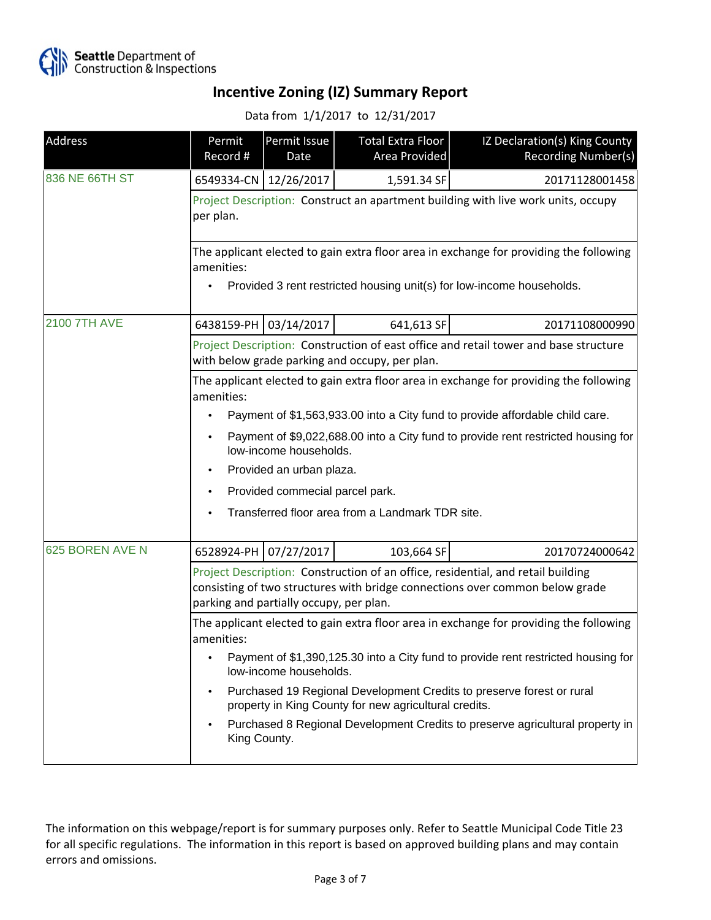

#### Data from 1/1/2017 to 12/31/2017

| Address             | Permit<br>Record #                                                                                                                                                                                          | Permit Issue<br>Date    | Total Extra Floor<br>Area Provided | IZ Declaration(s) King County<br>Recording Number(s) |  |
|---------------------|-------------------------------------------------------------------------------------------------------------------------------------------------------------------------------------------------------------|-------------------------|------------------------------------|------------------------------------------------------|--|
| 836 NE 66TH ST      |                                                                                                                                                                                                             | 6549334-CN   12/26/2017 | 1,591.34 SF                        | 20171128001458                                       |  |
|                     | Project Description: Construct an apartment building with live work units, occupy<br>per plan.                                                                                                              |                         |                                    |                                                      |  |
|                     | The applicant elected to gain extra floor area in exchange for providing the following<br>amenities:<br>Provided 3 rent restricted housing unit(s) for low-income households.                               |                         |                                    |                                                      |  |
| <b>2100 7TH AVE</b> | 6438159-PH 03/14/2017                                                                                                                                                                                       |                         | 641,613 SF                         | 20171108000990                                       |  |
|                     | Project Description: Construction of east office and retail tower and base structure<br>with below grade parking and occupy, per plan.                                                                      |                         |                                    |                                                      |  |
|                     | The applicant elected to gain extra floor area in exchange for providing the following<br>amenities:                                                                                                        |                         |                                    |                                                      |  |
|                     | Payment of \$1,563,933.00 into a City fund to provide affordable child care.                                                                                                                                |                         |                                    |                                                      |  |
|                     | Payment of \$9,022,688.00 into a City fund to provide rent restricted housing for<br>low-income households.                                                                                                 |                         |                                    |                                                      |  |
|                     | Provided an urban plaza.                                                                                                                                                                                    |                         |                                    |                                                      |  |
|                     | Provided commecial parcel park.                                                                                                                                                                             |                         |                                    |                                                      |  |
|                     | Transferred floor area from a Landmark TDR site.                                                                                                                                                            |                         |                                    |                                                      |  |
| 625 BOREN AVE N     |                                                                                                                                                                                                             | 6528924-PH 07/27/2017   | 103,664 SF                         | 20170724000642                                       |  |
|                     | Project Description: Construction of an office, residential, and retail building<br>consisting of two structures with bridge connections over common below grade<br>parking and partially occupy, per plan. |                         |                                    |                                                      |  |
|                     | The applicant elected to gain extra floor area in exchange for providing the following<br>amenities:                                                                                                        |                         |                                    |                                                      |  |
|                     | Payment of \$1,390,125.30 into a City fund to provide rent restricted housing for<br>low-income households.                                                                                                 |                         |                                    |                                                      |  |
|                     | Purchased 19 Regional Development Credits to preserve forest or rural<br>property in King County for new agricultural credits.                                                                              |                         |                                    |                                                      |  |
|                     | Purchased 8 Regional Development Credits to preserve agricultural property in<br>$\bullet$<br>King County.                                                                                                  |                         |                                    |                                                      |  |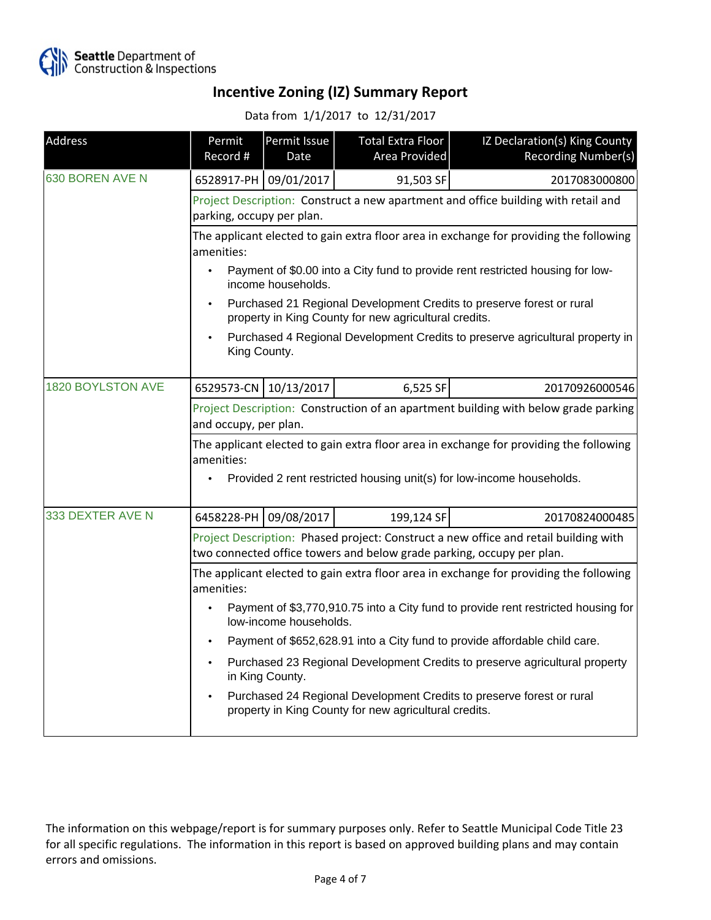

Data from 1/1/2017 to 12/31/2017

| Address           | Permit<br>Record #                                                                                                                                                            | Permit Issue<br>Date  | <b>Total Extra Floor</b><br>Area Provided | IZ Declaration(s) King County<br>Recording Number(s) |  |
|-------------------|-------------------------------------------------------------------------------------------------------------------------------------------------------------------------------|-----------------------|-------------------------------------------|------------------------------------------------------|--|
| 630 BOREN AVE N   |                                                                                                                                                                               | 6528917-PH 09/01/2017 | 91,503 SF                                 | 2017083000800                                        |  |
|                   | Project Description: Construct a new apartment and office building with retail and<br>parking, occupy per plan.                                                               |                       |                                           |                                                      |  |
|                   | The applicant elected to gain extra floor area in exchange for providing the following<br>amenities:                                                                          |                       |                                           |                                                      |  |
|                   | Payment of \$0.00 into a City fund to provide rent restricted housing for low-<br>$\bullet$<br>income households.                                                             |                       |                                           |                                                      |  |
|                   | Purchased 21 Regional Development Credits to preserve forest or rural<br>property in King County for new agricultural credits.                                                |                       |                                           |                                                      |  |
|                   | Purchased 4 Regional Development Credits to preserve agricultural property in<br>King County.                                                                                 |                       |                                           |                                                      |  |
| 1820 BOYLSTON AVE | 6529573-CN 10/13/2017                                                                                                                                                         |                       | 6,525 SF                                  | 20170926000546                                       |  |
|                   | Project Description: Construction of an apartment building with below grade parking<br>and occupy, per plan.                                                                  |                       |                                           |                                                      |  |
|                   | The applicant elected to gain extra floor area in exchange for providing the following<br>amenities:<br>Provided 2 rent restricted housing unit(s) for low-income households. |                       |                                           |                                                      |  |
| 333 DEXTER AVE N  | 6458228-PH                                                                                                                                                                    | 09/08/2017            | 199,124 SF                                | 20170824000485                                       |  |
|                   | Project Description: Phased project: Construct a new office and retail building with<br>two connected office towers and below grade parking, occupy per plan.                 |                       |                                           |                                                      |  |
|                   | The applicant elected to gain extra floor area in exchange for providing the following<br>amenities:                                                                          |                       |                                           |                                                      |  |
|                   | Payment of \$3,770,910.75 into a City fund to provide rent restricted housing for<br>low-income households.                                                                   |                       |                                           |                                                      |  |
|                   | Payment of \$652,628.91 into a City fund to provide affordable child care.                                                                                                    |                       |                                           |                                                      |  |
|                   | Purchased 23 Regional Development Credits to preserve agricultural property<br>in King County.                                                                                |                       |                                           |                                                      |  |
|                   | Purchased 24 Regional Development Credits to preserve forest or rural<br>property in King County for new agricultural credits.                                                |                       |                                           |                                                      |  |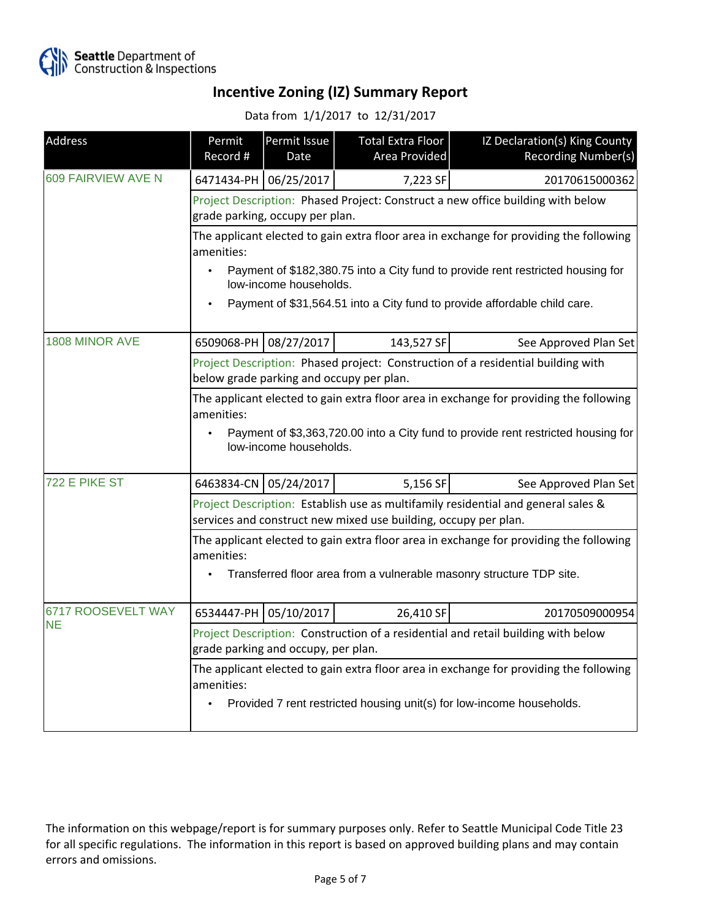

Data from 1/1/2017 to 12/31/2017

| Address                         | Permit<br>Record #                                                                                                                                                                        | Permit Issue<br>Date   | <b>Total Extra Floor</b><br>Area Provided | IZ Declaration(s) King County<br>Recording Number(s)                            |  |
|---------------------------------|-------------------------------------------------------------------------------------------------------------------------------------------------------------------------------------------|------------------------|-------------------------------------------|---------------------------------------------------------------------------------|--|
| 609 FAIRVIEW AVE N              |                                                                                                                                                                                           | 6471434-PH 06/25/2017  | 7,223 SF                                  | 20170615000362                                                                  |  |
|                                 | Project Description: Phased Project: Construct a new office building with below<br>grade parking, occupy per plan.                                                                        |                        |                                           |                                                                                 |  |
|                                 | The applicant elected to gain extra floor area in exchange for providing the following<br>amenities:                                                                                      |                        |                                           |                                                                                 |  |
|                                 | $\bullet$                                                                                                                                                                                 | low-income households. |                                           | Payment of \$182,380.75 into a City fund to provide rent restricted housing for |  |
|                                 | Payment of \$31,564.51 into a City fund to provide affordable child care.                                                                                                                 |                        |                                           |                                                                                 |  |
| 1808 MINOR AVE                  |                                                                                                                                                                                           | 6509068-PH 08/27/2017  | 143,527 SF                                | See Approved Plan Set                                                           |  |
|                                 | Project Description: Phased project: Construction of a residential building with<br>below grade parking and occupy per plan.                                                              |                        |                                           |                                                                                 |  |
|                                 | The applicant elected to gain extra floor area in exchange for providing the following<br>amenities:                                                                                      |                        |                                           |                                                                                 |  |
|                                 | Payment of \$3,363,720.00 into a City fund to provide rent restricted housing for<br>$\bullet$<br>low-income households.                                                                  |                        |                                           |                                                                                 |  |
| 722 E PIKE ST                   | 6463834-CN 05/24/2017                                                                                                                                                                     |                        | 5,156 SF                                  | See Approved Plan Set                                                           |  |
|                                 | Project Description: Establish use as multifamily residential and general sales &<br>services and construct new mixed use building, occupy per plan.                                      |                        |                                           |                                                                                 |  |
|                                 | The applicant elected to gain extra floor area in exchange for providing the following<br>amenities:<br>Transferred floor area from a vulnerable masonry structure TDP site.<br>$\bullet$ |                        |                                           |                                                                                 |  |
|                                 |                                                                                                                                                                                           |                        |                                           |                                                                                 |  |
| 6717 ROOSEVELT WAY<br><b>NE</b> |                                                                                                                                                                                           | 6534447-PH 05/10/2017  | 26,410 SF                                 | 20170509000954                                                                  |  |
|                                 | Project Description: Construction of a residential and retail building with below<br>grade parking and occupy, per plan.                                                                  |                        |                                           |                                                                                 |  |
|                                 | The applicant elected to gain extra floor area in exchange for providing the following<br>amenities:<br>Provided 7 rent restricted housing unit(s) for low-income households.             |                        |                                           |                                                                                 |  |
|                                 |                                                                                                                                                                                           |                        |                                           |                                                                                 |  |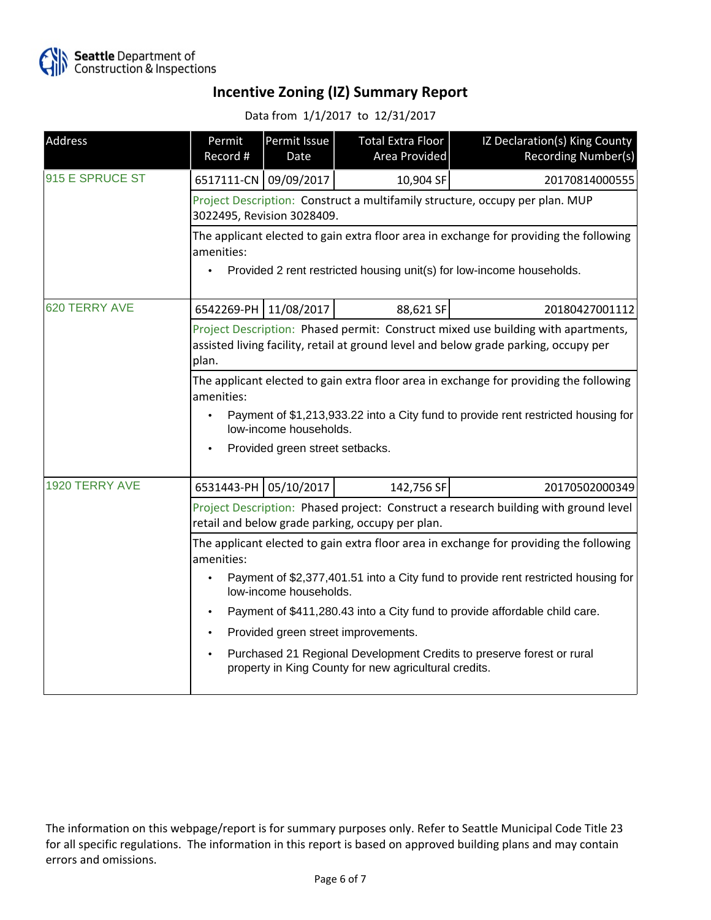

Data from 1/1/2017 to 12/31/2017

| Address         | Permit<br>Record #                                                                                                                                                                 | Permit Issue<br>Date            | <b>Total Extra Floor</b><br>Area Provided | IZ Declaration(s) King County<br>Recording Number(s) |  |  |
|-----------------|------------------------------------------------------------------------------------------------------------------------------------------------------------------------------------|---------------------------------|-------------------------------------------|------------------------------------------------------|--|--|
| 915 E SPRUCE ST |                                                                                                                                                                                    | 6517111-CN 09/09/2017           | 10,904 SF                                 | 20170814000555                                       |  |  |
|                 | Project Description: Construct a multifamily structure, occupy per plan. MUP<br>3022495, Revision 3028409.                                                                         |                                 |                                           |                                                      |  |  |
|                 | The applicant elected to gain extra floor area in exchange for providing the following<br>amenities:                                                                               |                                 |                                           |                                                      |  |  |
|                 | Provided 2 rent restricted housing unit(s) for low-income households.                                                                                                              |                                 |                                           |                                                      |  |  |
| 620 TERRY AVE   | 6542269-PH                                                                                                                                                                         | 11/08/2017                      | 88,621 SF                                 | 20180427001112                                       |  |  |
|                 | Project Description: Phased permit: Construct mixed use building with apartments,<br>assisted living facility, retail at ground level and below grade parking, occupy per<br>plan. |                                 |                                           |                                                      |  |  |
|                 | The applicant elected to gain extra floor area in exchange for providing the following<br>amenities:                                                                               |                                 |                                           |                                                      |  |  |
|                 | Payment of \$1,213,933.22 into a City fund to provide rent restricted housing for<br>low-income households.                                                                        |                                 |                                           |                                                      |  |  |
|                 |                                                                                                                                                                                    | Provided green street setbacks. |                                           |                                                      |  |  |
| 1920 TERRY AVE  |                                                                                                                                                                                    | 6531443-PH 05/10/2017           | 142,756 SF                                | 20170502000349                                       |  |  |
|                 | Project Description: Phased project: Construct a research building with ground level<br>retail and below grade parking, occupy per plan.                                           |                                 |                                           |                                                      |  |  |
|                 | The applicant elected to gain extra floor area in exchange for providing the following<br>amenities:                                                                               |                                 |                                           |                                                      |  |  |
|                 | Payment of \$2,377,401.51 into a City fund to provide rent restricted housing for<br>low-income households.                                                                        |                                 |                                           |                                                      |  |  |
|                 | Payment of \$411,280.43 into a City fund to provide affordable child care.<br>$\bullet$                                                                                            |                                 |                                           |                                                      |  |  |
|                 | Provided green street improvements.                                                                                                                                                |                                 |                                           |                                                      |  |  |
|                 | Purchased 21 Regional Development Credits to preserve forest or rural<br>$\bullet$<br>property in King County for new agricultural credits.                                        |                                 |                                           |                                                      |  |  |